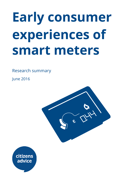# **Early consumer experiences of smart meters**

Research summary

June 2016



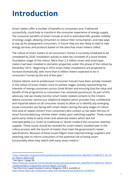# **Introduction**

Smart meters offer a number of benefits to consumers and, if delivered successfully, could help to transform the consumer experience of energy supply. The consumer benefits of smart include an end to estimated bills, greater visibility of energy usage, allowing consumers to reduce their consumption, and new ways to top up for prepayment consumers. In future they are also likely to lead to new energy services and products based on the data that smart meters collect.

The rollout of smart meters to all consumers' homes is currently scheduled to be completed by 2020. Installation activity to date has consisted of a more limited, 'foundation stage' of the rollout. More than 2.3 million smart and smart-type meters had been installed in domestic properties under this phase of the rollout by December 2015.<sup>1</sup> Beginning in 2016 smart meter installations are projected to increase dramatically, with more than 6 million meters expected to be in consumers' homes by the end of the year. 2

Citizens Advice, and its predecessor Consumer Futures have been actively involved in the rollout of smart meters since its earliest stages, actively representing the interests of energy consumers across Great Britain and ensuring that the value and benefit of the programme to consumers has remained paramount. As part of this advocacy role we closely monitor smart meter-related contacts to the Citizens Advice consumer service (our telephone helpline which provides free, confidential and impartial advice on all consumer issues) to allow us to identify any emerging issues consumers are facing with smart meters during the early stages of rollout. One area of repeat concern from consumers who contact us has been the loss of smart functionality (e.g. remote meter reads) upon switching supplier. These issues particularly relate to early smart and advanced meters which lack full interoperability (i.e. revert to traditional or 'dumb' mode) if the consumer switches supplier. These issues should be resolved for smart meters installed later in the rollout process with the launch of meters that meet the government's newer specifications. Because of these issues Ofgem have required energy suppliers and switching sites to inform consumers of the potential risk of losing smart functionality when they switch with early smart meters. $3$ 

<sup>1</sup>[https://www.gov.uk/government/uploads/system/uploads/attachment\\_data/le/512048/2015\\_Q4\\_Sm](https://www.gov.uk/government/uploads/system/uploads/attachment_data/file/512048/2015_Q4_Smart_Meters_Report.pdf) art Meters Report.pdf

 $2$  See figure 1 (page 28)

https://www.gov.uk/government/uploads/system/uploads/attachment\_data/file/477258/Smart\_Meters [\\_Implementation\\_Programme\\_Annual\\_Report\\_2015.pdf](https://www.gov.uk/government/uploads/system/uploads/attachment_data/file/477258/Smart_Meters_Implementation_Programme_Annual_Report_2015.pdf)

<sup>&</sup>lt;sup>3</sup> See Electricity Supply Standard Licence Obligation 25B.5, available at <https://www.ofgem.gov.uk/licences-codes-and-standards/licences/licence-conditions>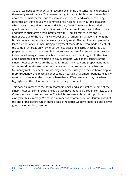As such we decided to undertake research examining the consumer experience of these early smart meters. The research sought to establish how consumers felt about their smart meters, and to examine experiences and awareness of any potential switching issues. We commissioned Accent to carry out this research, which was conducted in January and February 2016. The research included qualitative telephone/web interviews with 70 smart meter users and 70 non-users, and further qualitative depth interviews with 15 smart meter users and 15 non-users. Due to the relatively low level of smart meter installations among the British population sample sizes were inevitably small. The resulting sample had a large number of consumers using prepayment mode (PPM), who made up 77% of the sample, whereas only 15% of all domestic gas and electricity accounts use prepayment.<sup>4</sup> As such the sample is not representative of all smart meter users, or indeed of all energy consumers, but does offer a particular insight into the views and experiences of early smart pre-pay customers. While many aspects of the smart meter experience are the same for meters in credit and prepayment mode, some may differ (for example, consumers who use prepayment are likely to frequently make payments/top up, may check their usage on their in-home display more frequently, and place a higher value on certain smart meter benefits ie ability to top up online/over the phone). Where these differences exist they have been highlighted in the full report and this summary document.

This paper summarises the key research findings, and also highlights some of the smart meter consumer experiences that we have identified through contacts to the Citizens Advice consumer service. The full Accent research report is published alongside this summary. We make a number of recommendations (summarised at the end of this report) which should tackle the issues we have identified and deliver good outcomes for consumers.

<sup>4</sup>Data on proportion of PPM consumers available at https://www.ofgem.gov.uk/sites/default/files/docs/2015/09/retail\_energy\_markets\_in\_2015\_report\_0.pd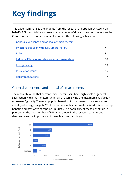# **Key findings**

This paper summarises the findings from the research undertaken by Accent on behalf of Citizens Advice and relevant case notes of direct consumer contacts to the Citizens Advice consumer service. It contains the following sub-sections:

| General experience and appeal of smart meters        | 3  |
|------------------------------------------------------|----|
| <b>Switching supplier with early smart meters</b>    | 4  |
| <b>Billing</b>                                       | 8  |
| <u>In-Home Displays and viewing smart meter data</u> | 10 |
| <b>Energy saving</b>                                 | 13 |
| <b>Installation issues</b>                           | 15 |
| Recommendations                                      |    |

# <span id="page-3-0"></span>General experience and appeal of smart meters

The research found that current smart meter users have high levels of general satisfaction with smart meters, with half of users giving the maximum satisfaction score (see figure 1). The most popular benefits of smart meters were related to visibility of energy usage (42% of consumers with smart meters listed this as the top benefit) and new ways of topping up (31%). The popularity of these benefits is in part due to the high number of PPM consumers in the research sample, and demonstrates the importance of these features for this group.



**Fig 1. Overall satisfaction with the smart meter**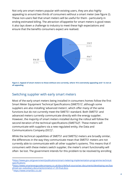Not only are smart meters popular with existing users, they are also highly appealing to around two thirds of consumers without a smart meter (see figure 2). These non-users feel that smart meters will be useful for them - particularly in ending estimated billing. The attraction of/appetite for smart meters is good news: it also lays down a challenge to industry to meet these high expectations and ensure that the benefits consumers expect are realised.



Figure 2. Appeal of smart meters to those without one currently, where 10 is extremely appealing and 1 is not at **all appealing**

# <span id="page-4-0"></span>Switching supplier with early smart meters

Most of the early smart meters being installed in consumers homes follow the first Smart Meter Equipment Technical Specifications (SMETS1)<sup>5</sup>, although some suppliers are also installing 'advanced meters', which offer many of the same functions but do not currently meet the SMETS1 standard. Both SMETS1 and advanced meters currently communicate directly with the energy supplier. However, the majority of smart meters installed during the rollout will follow the second iteration of the technical specifications (SMETS2)<sup>6</sup>. These meters will communicate with suppliers via a new regulated entity, the Data and Communications Company (DCC)<sup>7</sup>.

While the technical capabilities of SMETS1 and SMETS2 meters are broadly similar, the differences in the way they communicate mean that SMETS1 meters are not currently able to communicate with all other supplier's systems. This means that if consumers with these meters switch supplier, the meter's smart functionality will often be lost. The government intends for this problem to be resolved by enrolling

<sup>5</sup>[https://www.gov.uk/government/publications/smart-metering-implementation-programme-technical](https://www.gov.uk/government/publications/smart-metering-implementation-programme-technical-specifications)specifications

<sup>6</sup>[https://www.smartenergycodecompany.co.uk/docs/default-source/sec-documents/developing-sec/bas](https://www.smartenergycodecompany.co.uk/docs/default-source/sec-documents/developing-sec/baselined-sec-subsidiary-documents/smets2-v1-59-final.docx) elined-sec-subsidiary-documents/smets2-v1-59-final.docx

<sup>7</sup> <https://www.smartdcc.co.uk/>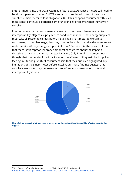SMETS1 meters into the DCC system at a future date. Advanced meters will need to be either upgraded to meet SMETS standards, or replaced, to count towards a supplier's smart meter rollout obligations. Until this happens consumers with such meters may continue experience some functionality problems when they switch supplier.

In order to ensure that consumers are aware of the current issues related to interoperability, Ofgem's supply licence conditions mandate that energy suppliers must take all reasonable steps before installing a smart meter to explain to consumers, in clear language, that they may not be able to receive the same smart meter services if they change supplier in future.<sup>8</sup> Despite this, the research found that there is widespread ignorance amongst consumers about the impact of choosing to have an early smart meter installed. Only 13% of smart meter users thought that their meter functionality would be affected if they switched supplier (see figure 3), and just 3% of consumers said that their supplier highlighted any limitations of the smart meter before installation. These findings suggest that suppliers are not taking adequate steps to inform consumers about potential interoperability issues.



**Figure 3. Awareness of whether access to smart meter data or functionality would be aected on switching supplier.**

<sup>&</sup>lt;sup>8</sup> See Electricity Supply Standard Licence Obligation 25B.5, available at <https://www.ofgem.gov.uk/licences-codes-and-standards/licences/licence-conditions>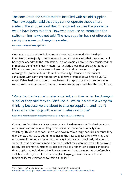The consumer had smart meters installed with his old supplier. The new supplier said that they cannot operate these smart meters. The supplier said that if he signed up over the phone he would have been told this. However, because he completed the switch online he was not told. The new supplier has not offered to rectify the issue or change the meter.

#### **Consumer service call note, April 2016**

Once made aware of the limitations of early smart meters during the depth interviews, the majority of consumers with smart meters said that they would still have gone ahead with the installation. This was mainly because they considered the immediate benefits of smart meters - particularly those that directly targeted at PPM consumers, such as access to lower tariffs and new ways to top up - to outweigh the potential future loss of functionality. However, a minority of consumers with early smart meters would have preferred to wait for a SMETS2 meter if they had known about these issues. Unsurprisingly the consumers who were most concerned were those who were considering a switch in the near future.

"My father had a smart meter installed, and then when he changed supplier they said they couldn't use it… which is a bit of a worry I'm thinking because we are about to change supplier… and I don't know what changing with a smart meter now is like"

#### **Quote from Accent research depth interviews (Female, Aged 50-64, Social Class D)**

Contacts to the Citizens Advice consumer service demonstrate the detriment that consumers can suffer when they lose their smart meter functionality after switching. This includes consumers who have received large back-bills because they didn't know they had to submit readings to the new supplier after switching, and consumers losing smart meter functionality that they had previously relied on. In some of these cases consumers have told us that they were not aware there would be any loss of smart functionality, despite the requirements in licence conditions that suppliers should determine if new customers have a smart meter before they switch, and if they do, inform them in plain language how their smart meter functionality may vary after switching supplier. 9

<sup>&</sup>lt;sup>9</sup> See Electricity Supply Standard Licence Obligation 25B.3, available at <https://www.ofgem.gov.uk/licences-codes-and-standards/licences/licence-conditions>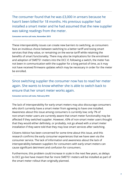The consumer found that he was £3,000 in arrears because he hasn't been billed for 18 months. His previous supplier had installed a smart meter and he had assumed that the new supplier was taking readings from the meter.

#### **Consumer service call note, November 2015**

These interoperability issues can create new barriers to switching, as consumers face an invidious choice between switching to a better tariff and losing smart services that they value, or remaining on the worse tariff while retaining the benefits of smart functionality. There may also be implications for the enrolment and adoption of SMETS1 meters into the DCC if, following a switch, the meter has not been in communication with the supplier for a long period of time, as it may not have received firmware updates which may be necessary in order for the meter be enrolled.

Since switching supplier the consumer now has to read her meter again. She wants to know whether she is able to switch back to ensure that her smart meter works again.

#### **Consumer service call note, February 2016**

The lack of interoperability for early smart meters may also discourage consumers who don't currently have a smart meter from agreeing to have one installed. Awareness about this issue among consumers is currently low; only 7% of non-smart meter users are currently aware that smart meter functionality may be affected if they switched supplier. However, 43% of non-smart meter users thought that they would either definitely, or probably, not go ahead with a smart meter installation if they were told that they may lose smart services after switching.

Citizens Advice has been concerned for some time about this issue, and this research confirms the early consumer experiences that we have seen via the consumer service. The lack of information and awareness about the lack of interoperability between suppliers for consumers with early smart meters can cause significant detriment and confusion for consumers.

Furthermore, this problem could increase in scale in the next few years, as delays to DCC go-live have meant that far more SMETS1 meters will be installed as part of the smart meter rollout than originally planned.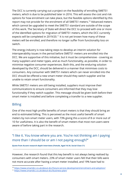The DCC is currently carrying out a project on the feasibility of enrolling SMETS1 meters, which is due to be published later in 2016. This will assess the cost and risk options for how enrolment can take place, but the feasible options identified by this report may not provide for the enrolment of all SMETS1 meters. $^{10}$  Advanced meters which cannot be upgraded to meet the SMETS1 standard are outside of the scope of this work. The Secretary of State will direct the DCC to proceed with one or more of the identified options for migration of SMETS1 meters, which the DCC currently expects will be completed in 2019/20. $^{11}$  It is not yet known how many of these meters will be enrolled, and therefore no longer suffer from functionality loss on switch.

The energy industry is now taking steps to develop an interim solution for interoperability issues in the period before SMETS1 meters are enrolled into the DCC. We are supportive of this initiative, but it must be comprehensive - covering as many suppliers and meter types, and as much functionality, as possible, in order to minimise negative consumer experiences. Both this, and the enduring solution developed by the DCC, should be delivered in a manner that minimises costs to consumers. Any consumer with SMETS1 meters which can never enrolled into the DCC should be offered a new smart meter should they switch supplier and be unable to retain smart functionality.

While SMETS1 meters are still being installed, suppliers must improve their communications to ensure consumers are informed that they may lose functionality if they switch supplier. This message should be given both before their smart meter is installed and before completing a transfer to a new supplier.

# <span id="page-8-0"></span>Billing

One of the most high profile benefits of smart meters is that they should bring an end to estimated billing. This is perceived as the most useful benefit of smart meters by non-smart meter users, with 73% giving this a score of 8 or more out of 10 for usefulness. It is also the benefit of smart meters that most non-users were aware of before taking part in the research.

# "I like it. You know where you are. You're not thinking am I paying more than I should be or am I not paying enough?"

**Quote from Accent research depth interviews (Female, Aged 16-34, Social Class C1)**

However, the research found that this key benefit is not always being realised by consumers with smart meters. 23% of smart meter users felt that their bills were not more accurate after having a smart meter installed, and 19% have had to

<sup>10</sup> <https://www.smartdcc.co.uk/about-dcc/future-service-development/enrolment-and-adoption/>

<sup>11</sup> <https://www.smartdcc.co.uk/about-dcc/business-plan/>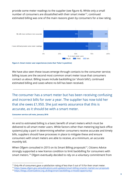provide some meter readings to the supplier (see figure 4). While only a small number of consumers are dissatisfied with their smart meter<sup>12</sup>, continued estimated billing was one of the main reasons given by consumers for a low rating.



**Figure 4. Smart meter user experiences (note that 'False' is positive)**

We have also seen these issues emerge through contacts to the consumer service; billing issues are the second most common smart meter issue that consumers contact us about. Billing issues include backbilling (or 'shock bills'), continued estimated billing and cases where no bill has been received.

The consumer has a smart meter but has been receiving confusing and incorrect bills for over a year. The supplier has now told her that she owes £1,950. She just wants assurance that this is accurate, as it should be with a smart meter.

**Consumer service call note, January 2016**

An end to estimated billing is a basic benefit of smart meters which must be delivered to all smart meter users. While factors other than metering (eg back office systems) play a part in determining whether consumers receive accurate and timely bills, suppliers should have processes in place to mitigate these and ensure consumers with smart meters are able to receive, at a minimum, an accurate monthly bill.

When Ofgem consulted in 2015 on its Smart Billing proposals<sup>13</sup>, Citizens Advice strongly supported a new licence condition to limit backbilling for consumers with smart meters. <sup>14</sup> Ofgem eventually decided to rely on a voluntary commitment from

<sup>&</sup>lt;sup>12</sup> Only 4% of consumers gave a satisfaction rating of less than 5 out of 10 for their smart meter.

<sup>13</sup> <https://www.ofgem.gov.uk/publications-and-updates/smart-billing-smarter-market-our-proposals>

<sup>14</sup> <https://blogs.citizensadvice.org.uk/blog/smart-backbilling-a-missed-opportunity/>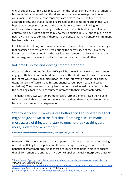energy suppliers to limit back-bills to six months for consumers with smart meters 15 but we remain concerned that this does not provide adequate protection for consumers. It is essential that consumers are able to realise the key benefit of accurate billing, and that all suppliers are held to the same standard on this. We hope that all suppliers sign up to the commitment to limit backbilling for smart meter users to six months, and go further over time until backbills are eliminated entirely. We have urged Ofgem to review their decision in 2017, and to put in place new rules to limit backbilling if there is no evidence that the voluntary commitment has been effective.

It will be vital - not only for consumers but also the reputation of smart metering that promised benefits are delivered during the early stages of the rollout; the longer such problems continue the less faith consumers are likely to have in the technology, and the extent to which it has the potential to benefit them.

### <span id="page-10-0"></span>In-Home Displays and viewing smart meter data

We expect that In-Home Displays (IHDs) will be the main way in which consumers engage with their smart meter data, at least in the short term. IHDs are devices in the home which give consumers near real-time information about their energy usage (in terms of current and historic energy consumption, cost and carbon emissions). They have consistently been demonstrated in various research to be the best single tool to help consumers interact with their smart meter data. 16

The depth interviews with smart meter users further demonstrated the value of IHDs, as overall those consumers who are using them think that the smart meter has met or exceeded their expectations.

"I'd probably say it's working out better than I anticipated but that might be just down to the fact that, if nothing else, it's made us more aware of things, and start to question, look at things a bit more, understand a bit more."

**Quote from Accent research depth interviews (Male, Aged 50-64, Social Class C2)**

However, 21% of consumers who participated in this research reported not being offered an IHD by their supplier and therefore may be missing out on the full benefits of smart metering. While there are licence conditions in place to ensure that all consumers are offered an IHD some supplier's initially interpreted these to

[\(https://www.gov.uk/government/publications/smart-metering-early-learning-project-and-small-scale-b](https://www.gov.uk/government/publications/smart-metering-early-learning-project-and-small-scale-behaviour-trials) [ehaviour-trials](https://www.gov.uk/government/publications/smart-metering-early-learning-project-and-small-scale-behaviour-trials)) and data sets available in ESMIG reports (http://esmig.eu/sites/default/files/final\_empower\_2\_demand\_report\_final\_distr2.pdf)

<sup>15</sup> <https://www.ofgem.gov.uk/publications-and-updates/smart-billing-smarter-market-our-decision> <sup>16</sup> DECC's Early Learning analysis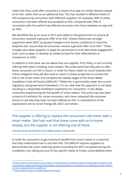mean that they could offer consumers a choice of an app (or similar device) instead of an IHD, rather than as an additional tool. This has resulted in different levels of IHD acceptance by consumers with different suppliers; for example, 96% of Utilita consumers had been offered and accepted an IHD, compared with 59% of consumers with Ovo (which had offered consumers the choice between an app and an IHD).

We identified this as an issue in 2015 and called on the government to ensure all consumers received a genuine offer of an IHD. Citizens Advice was strongly supportive when DECC proposed changes to the licence conditions to close this loophole and ensure that all consumers receive a genuine offer of an IHD.<sup>17</sup> These changes also allow suppliers to apply for permission to trial alternative engagement tools, such as apps, to develop an evidence base for their effectiveness in comparison to IHDs.

In addition to this issue, we are aware that one supplier, First Utility, is not currently offering IHDs when installing smart meters. We understand that they plan to offer these consumers an IHD in future. In order for these meters to count towards their rollout obligation they will also have to return to these properties to connect the IHD to the smart meter and complete the related stages of the Smart Meter Installation Code of Practice (SMICoP).<sup>18</sup> While this is permissible under the current regulatory and governance framework, it is our view that this approach is not ideal, resulting in a disjointed installation experience for consumers. It also delays consumers experiencing the full benefit of smart meters. This policy has also been a source of confusion for some consumers, who have contacted the consumer service to ask why they have not been offered an IHD, in contradiction of the expectations set by Smart Energy GB, DECC and others.

The supplier is offering to replace the consumer's old meter with a smart meter. She had read that these come with an in-home display, but the supplier is not offering one of these.

**Consumer service call note from a First Utility customer, February 2016**

In order for consumers to get maximum benefit from smart meters it is essential that they understand how to use their IHD. The SMICoP requires suppliers to demonstrate the smart metering system (including the IHD if accepted) during the installation visit, taking account of any specific needs or known vulnerabilities when

<sup>17</sup>[https://www.citizensadvice.org.uk/about-us/policy/policy-research-topics/energy-policy-research-and](https://www.citizensadvice.org.uk/about-us/policy/policy-research-topics/energy-policy-research-and-consultation-responses/energy-consultation-responses/deccs-consultation-on-amending-smart-meter-in-home-display-licence-conditions/)[consultation-responses/energy-consultation-responses/deccs-consultation-on-amending-smart-meter-i](https://www.citizensadvice.org.uk/about-us/policy/policy-research-topics/energy-policy-research-and-consultation-responses/energy-consultation-responses/deccs-consultation-on-amending-smart-meter-in-home-display-licence-conditions/) [n-home-display-licence-conditions/](https://www.citizensadvice.org.uk/about-us/policy/policy-research-topics/energy-policy-research-and-consultation-responses/energy-consultation-responses/deccs-consultation-on-amending-smart-meter-in-home-display-licence-conditions/)

<sup>18</sup> <http://www.smicop.co.uk/SitePages/Home.aspx>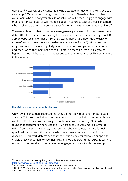doing so.<sup>19</sup> However, of the consumers who accepted an IHD (or an alternative such as an app) 20% report not being shown how to use it. There is a clear risk that consumers who are not given this demonstration will either struggle to engage with their smart meter data, or will not do so at all. In contrast, 93% of those consumers who received a demonstration were satisfied with the explanation that was given. $^{20}$ 

The research found that consumers were generally engaged with their smart meter data. 80% of consumers are viewing their smart meter data (either through an IHD, app or website) and, of these, 75% are viewing their smart meter data weekly or more often, with 40% checking the data every day (see figure 5). PPM consumers may have more reason to regularly view the data (for example to monitor credit and check when they next need to top-up etc), so these figures are likely to be higher than we might otherwise expect due to the large number of PPM consumers in the sample.





Only 10% of consumers reported that they did not view their smart meter data in any way. This group included some consumers who struggled to remember how to use the IHD. These consumers aligned with previous research by DECC, which found that consumers who found the IHD harder to use were more likely to be older, from lower social grades, have low household incomes, have no formal qualifications, or live with someone who has a long-term health condition or disability.<sup>21</sup> This work determined that there was a need for follow-up support to enable these consumers to use their IHD, and we understand that DECC is carrying out work to assess the current customer engagement plans for this follow-up

 $19$  SMICoP (3.6 Demonstrating the System to the Customer) available at <http://www.smicop.co.uk/SitePages/Home.aspx>

<sup>&</sup>lt;sup>20</sup> 93% of consumers gave a satisfaction rating of 8 or more out of 10.

<sup>&</sup>lt;sup>21</sup> DECC (2015), Smart Metering Implementation Programme: Policy Conclusions: Early Learning Project And Small-Scale Behavioural Trials, <http://bit.ly/1EXlYo>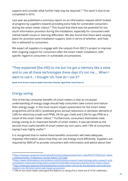support and consider what further help may be required.<sup>22</sup> This work is due to be completed in 2016.

Last year we published a summary report on an information request which looked at progress by suppliers towards providing extra help for vulnerable consumers during the smart meter rollout.<sup>23</sup> This found that there was the potential for too much information provision during the installation, especially for consumers with mental health issues or learning difficulties. We also found that there were varying plans for provision post-installation support, both in terms of whether, and how, this is delivered to consumers.

We expect all suppliers to engage with the outputs from DECC's project to improve their ongoing support for consumers after the smart meter installation, with specific regard to consumers in vulnerable circumstances.

"They explained [the IHD] to me but I've got a memory like a sieve and to use all these technologies these days it's not me…. When I went to use it , I thought 'oh, how do I use it'?

**Quote from Accent research depth interviews (Female, Aged 50-64, Social Class E)**

### <span id="page-13-0"></span>Energy saving

One of the key consumer benefits of smart meters is that an increased understanding of energy usage should help consumers take control and reduce their energy usage. In the most recent impact assessment for the smart meter programme (2014) DECC predicted gross annual reductions in domestic demand of 2.8% for electricity (credit and PPM); 2% for gas credit and 0.5% for gas PPM as a result of the smart meter rollout.<sup>24</sup> Furthermore, consumers themselves view energy saving as an important benefit of smart meters. It was perceived as the second most useful benefit of smart meters by non-users, with 73% of consumers saying it was highly useful.<sup>25</sup>

It is recognised that to realise these benefits consumers will need adequate, impartial information about how they can use energy more efficiently. Suppliers are required by SMICoP to provide consumers with information and advice about their

<sup>&</sup>lt;sup>22</sup>https://www.gov.uk/government/uploads/system/uploads/attachment\_data/file/477258/Smart\_Meter [s\\_Implementation\\_Programme\\_Annual\\_Report\\_2015.pdf](https://www.gov.uk/government/uploads/system/uploads/attachment_data/file/477258/Smart_Meters_Implementation_Programme_Annual_Report_2015.pdf)

<sup>&</sup>lt;sup>23</sup>[https://www.citizensadvice.org.uk/about-us/policy/policy-research-topics/energy-policy-research-and](https://www.citizensadvice.org.uk/about-us/policy/policy-research-topics/energy-policy-research-and-consultation-responses/energy-policy-research/vulnerable-consumers-and-the-smart-meter-rollout/)[consultation-responses/energy-policy-research/vulnerable-consumers-and-the-smart-meter-rollout/](https://www.citizensadvice.org.uk/about-us/policy/policy-research-topics/energy-policy-research-and-consultation-responses/energy-policy-research/vulnerable-consumers-and-the-smart-meter-rollout/) <sup>24</sup>[https://www.gov.uk/government/publications/smart-meter-roll-out-for-the-domestic-and-small-and](https://www.gov.uk/government/publications/smart-meter-roll-out-for-the-domestic-and-small-and-medium-non-domestic-sectors-gb-impact-assessment)[medium-non-domestic-sectors-gb-impact-assessment](https://www.gov.uk/government/publications/smart-meter-roll-out-for-the-domestic-and-small-and-medium-non-domestic-sectors-gb-impact-assessment)

<sup>&</sup>lt;sup>25</sup> 73% of non-smart meter users gave this feature a a rating of 8 or more out of 10 for usefulness.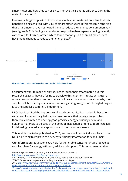smart meter and how they can use it to improve their energy efficiency during the meter installation. 26

However, a large proportion of consumers with smart meters do not feel that this benefit is being achieved, with 24% of smart meter users in this research reporting that smart meters have not helped them to reduce their energy consumption at all (see figure 6). This finding is arguably more positive than separate polling recently carried out for Citizens Advice, which found that only 31% of smart meter users have made changes to reduce their energy use.<sup>27</sup>



**Figure 6. Smart meter user experiences (note that 'False' is positive)**

Consumers want to make energy savings through their smart meter, but this research suggests they are failing to translate this intention into action. Citizens Advice recognises that some consumers will be cautious or unsure about why their supplier will be offering advice about reducing energy usage, even though doing so is to the supplier's commercial detriment.

DECC has identified the importance of good communication materials, based on evidence of what actually helps consumers reduce their energy usage. It has therefore committed to develop good practice energy efficiency advice and guidance materials to be used at the point of installation, and to support installers in delivering tailored advice appropriate to the customer's needs. $^{28}$ 

This work is due to be published in 2016, and we would expect all suppliers to use DECC's offering to improve their energy efficiency information for consumers.

Our information request on extra help for vulnerable consumers $^{29}$  also looked at supplier plans for energy efficiency advice and support. This recommended that

<sup>29</sup>[https://www.citizensadvice.org.uk/about-us/policy/policy-research-topics/energy-policy-research-and](https://www.citizensadvice.org.uk/about-us/policy/policy-research-topics/energy-policy-research-and-consultation-responses/energy-policy-research/vulnerable-consumers-and-the-smart-meter-rollout/)[consultation-responses/energy-policy-research/vulnerable-consumers-and-the-smart-meter-rollout/](https://www.citizensadvice.org.uk/about-us/policy/policy-research-topics/energy-policy-research-and-consultation-responses/energy-policy-research/vulnerable-consumers-and-the-smart-meter-rollout/)

<sup>&</sup>lt;sup>26</sup> SMICoP (3.7 Provision of Energy Efficiency Guidance) available at <http://www.smicop.co.uk/SitePages/Home.aspx>

<sup>&</sup>lt;sup>27</sup> GfK Energy Market Monitor Q4 2015 (this survey data is not in the public domain) <sup>28</sup>DECC, Smart Meter Implementation Programme Annual Report

<sup>2015,</sup>https://www.gov.uk/government/uploads/system/uploads/attachment\_data/file/477258/Smart\_M [eters\\_Implementation\\_Programme\\_Annual\\_Report\\_2015.pdf](https://www.gov.uk/government/uploads/system/uploads/attachment_data/file/477258/Smart_Meters_Implementation_Programme_Annual_Report_2015.pdf)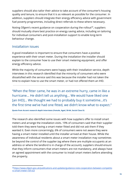suppliers should also tailor their advice to take account of the consumer's housing quality and tenure, to ensure that it is as relevant as possible for the consumer. In addition, suppliers should integrate their energy efficiency advice with government fuel poverty programmes, including direct referrals to these where necessary.

Noting Ofgem's recent guidance on cooperation during the rollout<sup>30</sup>, suppliers should mutually share best practice on energy saving advice, including on tailoring for individual consumers and post-installation support to enable long-term behaviour change.

# <span id="page-15-0"></span>Installation issues

A good installation is important to ensure that consumers have a positive experience with their smart meter. During the installation the installer should explain to the consumer how to use their smart metering equipment, and offer energy efficiency advice.

While the majority of consumers were happy with their installation service, depth interviews in this research identified that the minority of consumers who were dissatisfied with the service said this was because the installer had not taken the time to explain how to use the smart meter, or had not offered them an IHD.

"When the fitter came, he was in an extreme hurry, came in like a hurricane... He didn't tell us anything... We would have liked one [an IHD]... We thought we had to probably buy it sometime...it's the first time we've had one fitted, we didn't know what to expect."

**Quote from Accent research depth interviews (Female, Aged, 50-64, Social Class D)**

The research also identified some issues with how suppliers offer to install smart meters and arrange the installation visits. 19% of consumers said that their supplier told them they were having a smart meter fitted and did not ask them if they wanted it. Even more concerningly, 6% of consumers were not aware they were having a smart meter installed until the installer arrived at their house. While the awareness of individual residents about a smart meter installation may sometimes be beyond the control of the supplier (eg where there are multiple occupants at an address or where the landlord is in charge of the account), suppliers should ensure that they inform consumers that smart meters are not mandatory, and always have an agreed appointment with the consumer to install smart meters before attending the property.

<sup>30</sup>[https://www.ofgem.gov.uk/publications-and-updates/guidance-note-cooperation-between-competito](https://www.ofgem.gov.uk/publications-and-updates/guidance-note-cooperation-between-competitors-smart-meter-roll-out) [rs-smart-meter-roll-out](https://www.ofgem.gov.uk/publications-and-updates/guidance-note-cooperation-between-competitors-smart-meter-roll-out)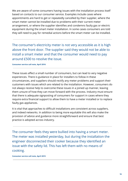We are aware of some consumers having issues with the installation process itself based on contacts to our consumer service. Examples include cases where appointments are hard to get or repeatedly cancelled by their supplier, where the smart meter cannot be installed due to problems with their current meter arrangement, or where the supplier identifies and condemns faulty gas or electric equipment during the smart meter installation. In some cases consumers are told they will need to pay for remedial actions before the smart meter can be installed.

The consumer's electricity meter is not very accessible as it is high above the front door. The supplier said they would not be able to install a smart meter and that the consumer would need to pay around £500 to resolve the issue.

#### **Consumer service call note, April 2016**

These issues affect a small number of consumers, but can lead to very negative experiences. There is guidance in place for installers to follow in these circumstances, and suppliers should rectify any meter problems and support their customers with issues which are related to the installation. However, consumers do not always receive help to overcome these issues in a joined up manner, leaving them unsure of how they can move forward with the process. Industry must ensure that there is adequate signposting of consumers for support in cases where they require extra financial support to allow them to have a meter installed or to replace faulty gas appliances.

It is vital that approaches to difficult installations are consistent across suppliers, and indeed networks. In addition to being more equitable this will also make the provision of advice and guidance more straightforward and ensure that best practice is adopted across industry.

The consumer feels they were bullied into having a smart meter. The meter was installed yesterday, but during the installation the engineer disconnected their cooker because they identified an issue with the safety lid. This has left them with no means of cooking.

**Consumer service call note, April 2015**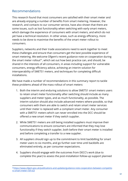# <span id="page-17-0"></span>Recommendations

This research found that most consumers are satisfied with their smart meter and are already enjoying a number of benefits from smart metering. However, the research, and contacts to our consumer service, have also shown that there are some issues, such as lost functionality when switching with early smart meters, which damage the experience of consumers with smart meters, and which do not yet have a technical resolution. In other areas, such as energy efficiency, more needs to be done to maximise the benefits of the smart meter rollout to consumers.

Suppliers, networks and their trade associations need to work together to meet these challenges and ensure that consumers get the best possible experience of smart metering. We welcome Ofgem's recent guidance note on cooperation during the smart meter rollout $^{31}$ , which set out how best practice can, and should, be shared in the interests of all consumers, in areas including support for vulnerable consumers, energy efficiency advice, achieving an interim solution for interoperability of SMETS1 meters, and techniques for completing difficult installations.

We have made a number of recommendations in this summary report to tackle these problems ahead of the mass rollout of smart meters:

- 1. Both the interim and enduring solutions to allow SMETS1 smart meters users to retain smart meter functionality after switching should include as many suppliers and meter types, and as much functionality, as possible. The interim solution should also include advanced meters where possible, so that consumers with them are able to switch and retain smart meter services until their meter is replaced with a compliant smart meter. Any consumer with a SMETS1 meters which can never enrolled into the DCC should be offered a new smart meter if they switch supplier.
- 2. While SMETS1 meters are still being installed suppliers must improve their communications to ensure consumers are informed that they may lose functionality if they switch supplier, both before their smart meter is installed and before completing a transfer to a new supplier.
- 3. All suppliers should sign up to the commitment to limit backbilling for smart meter users to six months, and go further over time until backbills are eliminated entirely, as per consumer expectations.
- 4. Suppliers should engage with the outcomes from DECC's work (due to complete this year) to assess the post-installation follow-up support planned

<sup>31</sup> [https://www.ofgem.gov.uk/publications-and-updates/guidance-note-cooperation-between-competito](https://www.ofgem.gov.uk/publications-and-updates/guidance-note-cooperation-between-competitors-smart-meter-roll-out) [rs-smart-meter-roll-out](https://www.ofgem.gov.uk/publications-and-updates/guidance-note-cooperation-between-competitors-smart-meter-roll-out)